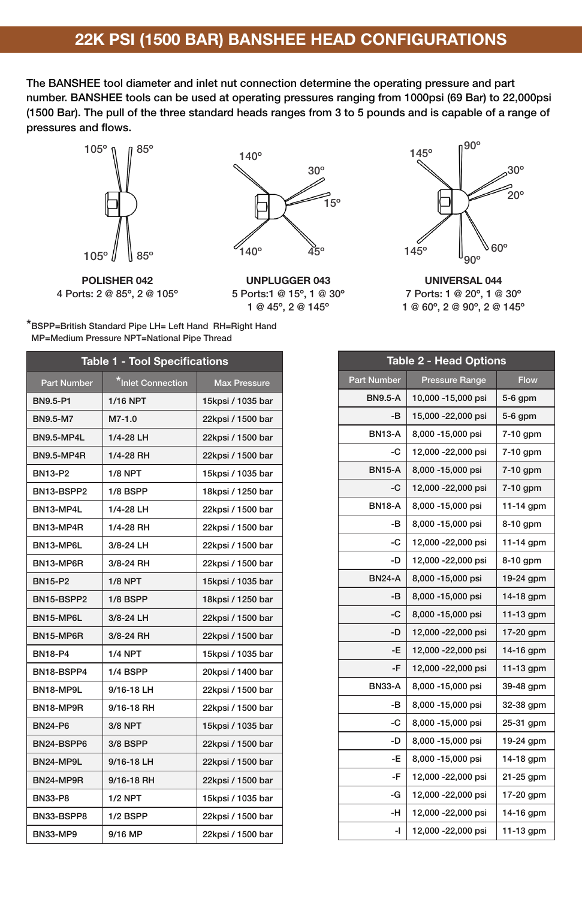## 22K PSI (1500 BAR) BANSHEE HEAD CONFIGURATIONS

The BANSHEE tool diameter and inlet nut connection determine the operating pressure and part number. BANSHEE tools can be used at operating pressures ranging from 1000psi (69 Bar) to 22,000psi (1500 Bar). The pull of the three standard heads ranges from 3 to 5 pounds and is capable of a range of pressures and flows.



POLISHER 042 4 Ports: 2 @ 85º, 2 @ 105º



UNPLUGGER 043 5 Ports:1 @ 15º, 1 @ 30º 1 @ 45º, 2 @ 145º



UNIVERSAL 044 7 Ports: 1 @ 20º, 1 @ 30º 1 @ 60º, 2 @ 90º, 2 @ 145º

| *BSPP=British Standard Pipe LH= Left Hand RH=Right Hand |  |
|---------------------------------------------------------|--|
| MP=Medium Pressure NPT=National Pipe Thread             |  |
|                                                         |  |

| <b>Table 1 - Tool Specifications</b> |                   |                     |  |  |
|--------------------------------------|-------------------|---------------------|--|--|
| <b>Part Number</b>                   | *Inlet Connection | <b>Max Pressure</b> |  |  |
| BN9.5-P1                             | <b>1/16 NPT</b>   | 15kpsi / 1035 bar   |  |  |
| <b>BN9.5-M7</b>                      | $M7-1.0$          | 22kpsi / 1500 bar   |  |  |
| <b>BN9.5-MP4L</b>                    | 1/4-28 LH         | 22kpsi / 1500 bar   |  |  |
| <b>BN9.5-MP4R</b>                    | 1/4-28 RH         | 22kpsi / 1500 bar   |  |  |
| BN13-P2                              | <b>1/8 NPT</b>    | 15kpsi / 1035 bar   |  |  |
| BN13-BSPP2                           | 1/8 BSPP          | 18kpsi / 1250 bar   |  |  |
| BN13-MP4L                            | 1/4-28 LH         | 22kpsi / 1500 bar   |  |  |
| BN13-MP4R                            | 1/4-28 RH         | 22kpsi / 1500 bar   |  |  |
| BN13-MP6L                            | 3/8-24 LH         | 22kpsi / 1500 bar   |  |  |
| BN13-MP6R                            | 3/8-24 RH         | 22kpsi / 1500 bar   |  |  |
| <b>BN15-P2</b>                       | $1/8$ NPT         | 15kpsi / 1035 bar   |  |  |
| BN15-BSPP2                           | 1/8 BSPP          | 18kpsi / 1250 bar   |  |  |
| BN15-MP6L                            | 3/8-24 LH         | 22kpsi / 1500 bar   |  |  |
| BN15-MP6R                            | 3/8-24 RH         | 22kpsi / 1500 bar   |  |  |
| <b>BN18-P4</b>                       | <b>1/4 NPT</b>    | 15kpsi / 1035 bar   |  |  |
| BN18-BSPP4                           | 1/4 BSPP          | 20kpsi / 1400 bar   |  |  |
| BN18-MP9L                            | 9/16-18 LH        | 22kpsi / 1500 bar   |  |  |
| BN18-MP9R                            | 9/16-18 RH        | 22kpsi / 1500 bar   |  |  |
| <b>BN24-P6</b>                       | 3/8 NPT           | 15kpsi / 1035 bar   |  |  |
| BN24-BSPP6                           | 3/8 BSPP          | 22kpsi / 1500 bar   |  |  |
| BN24-MP9L                            | 9/16-18 LH        | 22kpsi / 1500 bar   |  |  |
| BN24-MP9R                            | 9/16-18 RH        | 22kpsi / 1500 bar   |  |  |
| <b>BN33-P8</b>                       | <b>1/2 NPT</b>    | 15kpsi / 1035 bar   |  |  |
| BN33-BSPP8                           | 1/2 BSPP          | 22kpsi / 1500 bar   |  |  |
| <b>BN33-MP9</b>                      | 9/16 MP           | 22kpsi / 1500 bar   |  |  |

| <b>Table 2 - Head Options</b> |                       |             |  |
|-------------------------------|-----------------------|-------------|--|
| <b>Part Number</b>            | <b>Pressure Range</b> | <b>Flow</b> |  |
| <b>BN9.5-A</b>                | 10,000 -15,000 psi    | 5-6 gpm     |  |
| -в                            | 15,000 - 22,000 psi   | $5-6$ gpm   |  |
| <b>BN13-A</b>                 | 8,000 -15,000 psi     | 7-10 gpm    |  |
| -C                            | 12,000 -22,000 psi    | 7-10 gpm    |  |
| <b>BN15-A</b>                 | 8,000 -15,000 psi     | $7-10$ gpm  |  |
| -C                            | 12,000 - 22,000 psi   | 7-10 gpm    |  |
| <b>BN18-A</b>                 | 8,000 -15,000 psi     | 11-14 gpm   |  |
| -в                            | 8,000 -15,000 psi     | 8-10 gpm    |  |
| -C                            | 12,000 - 22,000 psi   | 11-14 gpm   |  |
| -D                            | 12,000 - 22,000 psi   | 8-10 gpm    |  |
| <b>BN24-A</b>                 | 8,000 -15,000 psi     | 19-24 gpm   |  |
| -B                            | 8,000 -15,000 psi     | $14-18$ gpm |  |
| -C                            | 8,000 -15,000 psi     | 11-13 gpm   |  |
| -D                            | 12,000 - 22,000 psi   | 17-20 gpm   |  |
| -E                            | 12,000 - 22,000 psi   | 14-16 gpm   |  |
| -F                            | 12,000 - 22,000 psi   | 11-13 gpm   |  |
| <b>BN33-A</b>                 | 8,000 -15,000 psi     | 39-48 gpm   |  |
| -в                            | 8,000 -15,000 psi     | 32-38 gpm   |  |
| -C                            | 8,000 -15,000 psi     | 25-31 gpm   |  |
| -D                            | 8,000 -15,000 psi     | 19-24 gpm   |  |
| -E                            | 8,000 -15,000 psi     | 14-18 gpm   |  |
| -F                            | 12,000 -22,000 psi    | 21-25 gpm   |  |
| -G                            | 12,000 - 22,000 psi   | 17-20 gpm   |  |
| -H                            | 12,000 - 22,000 psi   | 14-16 gpm   |  |
| -1                            | 12,000 - 22,000 psi   | 11-13 gpm   |  |